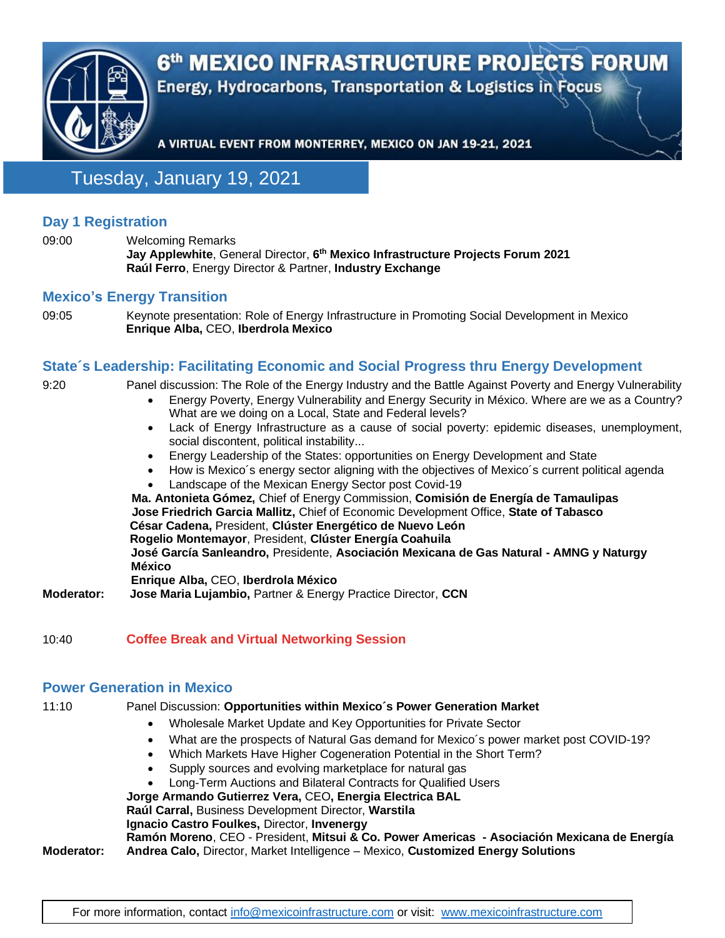

Tuesday, January 19, 2021

# **Day 1 Registration**

09:00 Welcoming Remarks **Jay Applewhite**, General Director, **6 th Mexico Infrastructure Projects Forum 2021 Raúl Ferro**, Energy Director & Partner, **Industry Exchange**

### **Mexico's Energy Transition**

09:05 Keynote presentation: Role of Energy Infrastructure in Promoting Social Development in Mexico **Enrique Alba,** CEO, **Iberdrola Mexico**

# **State´s Leadership: Facilitating Economic and Social Progress thru Energy Development**

| 9:20              | Panel discussion: The Role of the Energy Industry and the Battle Against Poverty and Energy Vulnerability<br>Energy Poverty, Energy Vulnerability and Energy Security in México. Where are we as a Country?<br>$\bullet$<br>What are we doing on a Local, State and Federal levels? |
|-------------------|-------------------------------------------------------------------------------------------------------------------------------------------------------------------------------------------------------------------------------------------------------------------------------------|
|                   | Lack of Energy Infrastructure as a cause of social poverty: epidemic diseases, unemployment,<br>$\bullet$<br>social discontent, political instability                                                                                                                               |
|                   | Energy Leadership of the States: opportunities on Energy Development and State<br>$\bullet$                                                                                                                                                                                         |
|                   | How is Mexico's energy sector aligning with the objectives of Mexico's current political agenda<br>٠<br>Landscape of the Mexican Energy Sector post Covid-19<br>$\bullet$                                                                                                           |
|                   | Ma. Antonieta Gómez, Chief of Energy Commission, Comisión de Energía de Tamaulipas<br>Jose Friedrich Garcia Mallitz, Chief of Economic Development Office, State of Tabasco                                                                                                         |
|                   | César Cadena, President, Clúster Energético de Nuevo León                                                                                                                                                                                                                           |
|                   | Rogelio Montemayor, President, Clúster Energía Coahuila<br>José García Sanleandro, Presidente, Asociación Mexicana de Gas Natural - AMNG y Naturgy<br><b>México</b><br>Enrique Alba, CEO, Iberdrola México                                                                          |
| <b>Moderator:</b> | Jose Maria Lujambio, Partner & Energy Practice Director, CCN                                                                                                                                                                                                                        |
|                   |                                                                                                                                                                                                                                                                                     |

10:40 **Coffee Break and Virtual Networking Session**

#### **Power Generation in Mexico**

#### 11:10 Panel Discussion: **Opportunities within Mexico´s Power Generation Market**

- Wholesale Market Update and Key Opportunities for Private Sector
- What are the prospects of Natural Gas demand for Mexico´s power market post COVID-19?
	- Which Markets Have Higher Cogeneration Potential in the Short Term?
- Supply sources and evolving marketplace for natural gas
- Long-Term Auctions and Bilateral Contracts for Qualified Users

**Jorge Armando Gutierrez Vera,** CEO**, Energia Electrica BAL**

**Raúl Carral,** Business Development Director, **Warstila**

**Ignacio Castro Foulkes,** Director, **Invenergy**

# **Ramón Moreno**, CEO - President, **Mitsui & Co. Power Americas - Asociación Mexicana de Energía**

**Moderator: Andrea Calo,** Director, Market Intelligence – Mexico, **Customized Energy Solutions**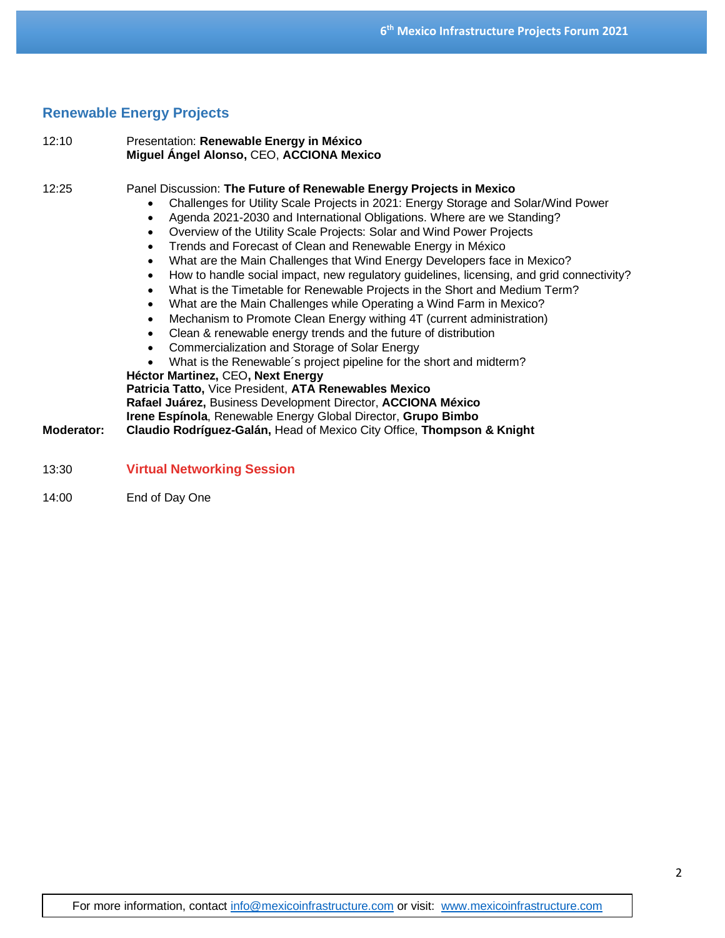# **Renewable Energy Projects**

| 12:10               | Presentation: Renewable Energy in México<br>Miguel Ángel Alonso, CEO, ACCIONA Mexico                                                                                                                                                                                                                                                                                                                                                                                                                                                                                                                                                                                                                                                                                                                                                                                                                                                                                                                                                                                                                                                                                                                                                                                                  |
|---------------------|---------------------------------------------------------------------------------------------------------------------------------------------------------------------------------------------------------------------------------------------------------------------------------------------------------------------------------------------------------------------------------------------------------------------------------------------------------------------------------------------------------------------------------------------------------------------------------------------------------------------------------------------------------------------------------------------------------------------------------------------------------------------------------------------------------------------------------------------------------------------------------------------------------------------------------------------------------------------------------------------------------------------------------------------------------------------------------------------------------------------------------------------------------------------------------------------------------------------------------------------------------------------------------------|
| 12:25<br>Moderator: | Panel Discussion: The Future of Renewable Energy Projects in Mexico<br>Challenges for Utility Scale Projects in 2021: Energy Storage and Solar/Wind Power<br>Agenda 2021-2030 and International Obligations. Where are we Standing?<br>Overview of the Utility Scale Projects: Solar and Wind Power Projects<br>Trends and Forecast of Clean and Renewable Energy in México<br>What are the Main Challenges that Wind Energy Developers face in Mexico?<br>How to handle social impact, new regulatory guidelines, licensing, and grid connectivity?<br>What is the Timetable for Renewable Projects in the Short and Medium Term?<br>What are the Main Challenges while Operating a Wind Farm in Mexico?<br>Mechanism to Promote Clean Energy withing 4T (current administration)<br>Clean & renewable energy trends and the future of distribution<br>Commercialization and Storage of Solar Energy<br>What is the Renewable's project pipeline for the short and midterm?<br>Héctor Martinez, CEO, Next Energy<br>Patricia Tatto, Vice President, ATA Renewables Mexico<br>Rafael Juárez, Business Development Director, ACCIONA México<br>Irene Espínola, Renewable Energy Global Director, Grupo Bimbo<br>Claudio Rodríguez-Galán, Head of Mexico City Office, Thompson & Knight |
| 13:30               | <b>Virtual Networking Session</b>                                                                                                                                                                                                                                                                                                                                                                                                                                                                                                                                                                                                                                                                                                                                                                                                                                                                                                                                                                                                                                                                                                                                                                                                                                                     |

14:00 End of Day One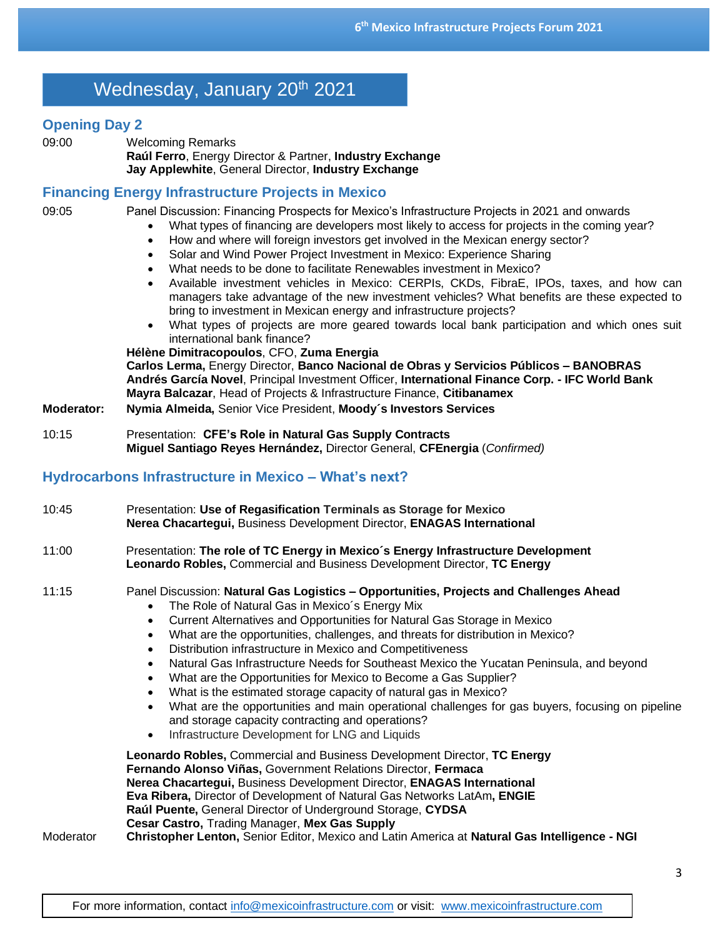# Wednesday, January 20<sup>th</sup> 2021

#### **Opening Day 2**

09:00 Welcoming Remarks **Raúl Ferro**, Energy Director & Partner, **Industry Exchange Jay Applewhite**, General Director, **Industry Exchange**

## **Financing Energy Infrastructure Projects in Mexico**

09:05 Panel Discussion: Financing Prospects for Mexico's Infrastructure Projects in 2021 and onwards

- What types of financing are developers most likely to access for projects in the coming year?
	- How and where will foreign investors get involved in the Mexican energy sector?
	- Solar and Wind Power Project Investment in Mexico: Experience Sharing
	- What needs to be done to facilitate Renewables investment in Mexico?
	- Available investment vehicles in Mexico: CERPIs, CKDs, FibraE, IPOs, taxes, and how can managers take advantage of the new investment vehicles? What benefits are these expected to bring to investment in Mexican energy and infrastructure projects?
	- What types of projects are more geared towards local bank participation and which ones suit international bank finance?

**Hélène Dimitracopoulos**, CFO, **Zuma Energia Carlos Lerma,** Energy Director, **Banco Nacional de Obras y Servicios Públicos – BANOBRAS Andrés García Novel**, Principal Investment Officer, **International Finance Corp. - IFC World Bank Mayra Balcazar**, Head of Projects & Infrastructure Finance, **Citibanamex**

- **Moderator: Nymia Almeida,** Senior Vice President, **Moody´s Investors Services**
- 10:15 Presentation: **CFE's Role in Natural Gas Supply Contracts Miguel Santiago Reyes Hernández,** Director General, **CFEnergia** (*Confirmed)*

# **Hydrocarbons Infrastructure in Mexico – What's next?**

| 10:45     | Presentation: Use of Regasification Terminals as Storage for Mexico<br>Nerea Chacartegui, Business Development Director, ENAGAS International                                                                                                                                                                                                                                                                                                                                                                                                                                                                                                                                                                                                                                                                                                                                    |
|-----------|----------------------------------------------------------------------------------------------------------------------------------------------------------------------------------------------------------------------------------------------------------------------------------------------------------------------------------------------------------------------------------------------------------------------------------------------------------------------------------------------------------------------------------------------------------------------------------------------------------------------------------------------------------------------------------------------------------------------------------------------------------------------------------------------------------------------------------------------------------------------------------|
| 11:00     | Presentation: The role of TC Energy in Mexico's Energy Infrastructure Development<br>Leonardo Robles, Commercial and Business Development Director, TC Energy                                                                                                                                                                                                                                                                                                                                                                                                                                                                                                                                                                                                                                                                                                                    |
| 11:15     | Panel Discussion: Natural Gas Logistics - Opportunities, Projects and Challenges Ahead<br>The Role of Natural Gas in Mexico's Energy Mix<br>Current Alternatives and Opportunities for Natural Gas Storage in Mexico<br>$\bullet$<br>What are the opportunities, challenges, and threats for distribution in Mexico?<br>$\bullet$<br>Distribution infrastructure in Mexico and Competitiveness<br>Natural Gas Infrastructure Needs for Southeast Mexico the Yucatan Peninsula, and beyond<br>What are the Opportunities for Mexico to Become a Gas Supplier?<br>$\bullet$<br>What is the estimated storage capacity of natural gas in Mexico?<br>$\bullet$<br>What are the opportunities and main operational challenges for gas buyers, focusing on pipeline<br>$\bullet$<br>and storage capacity contracting and operations?<br>Infrastructure Development for LNG and Liquids |
| Moderator | Leonardo Robles, Commercial and Business Development Director, TC Energy<br>Fernando Alonso Viñas, Government Relations Director, Fermaca<br>Nerea Chacartegui, Business Development Director, ENAGAS International<br>Eva Ribera, Director of Development of Natural Gas Networks LatAm, ENGIE<br>Raúl Puente, General Director of Underground Storage, CYDSA<br>Cesar Castro, Trading Manager, Mex Gas Supply<br>Christopher Lenton, Senior Editor, Mexico and Latin America at Natural Gas Intelligence - NGI                                                                                                                                                                                                                                                                                                                                                                 |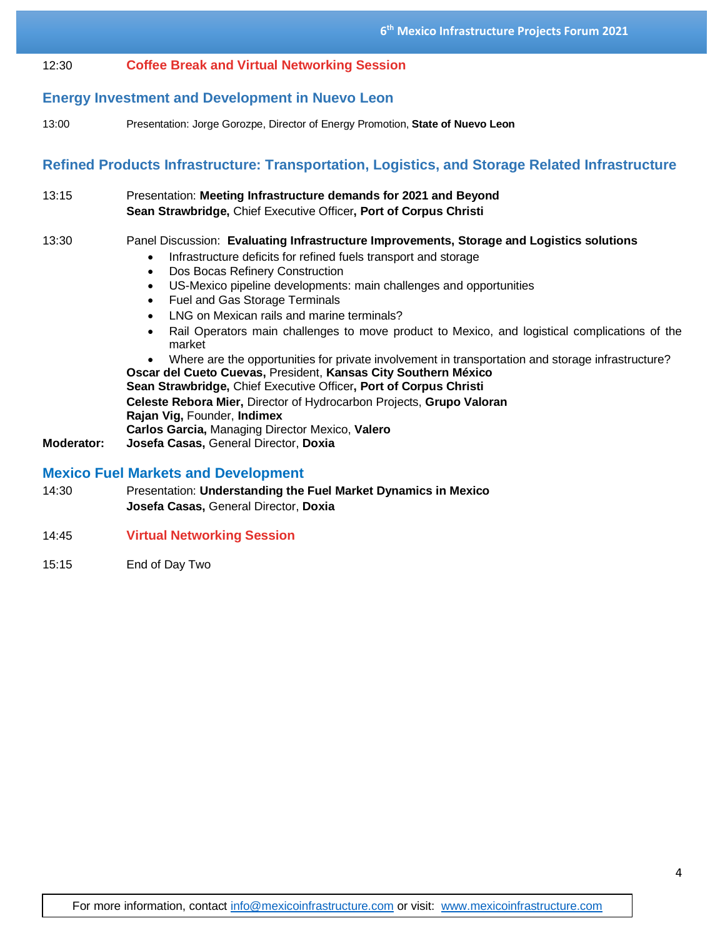#### 12:30 **Coffee Break and Virtual Networking Session**

## **Energy Investment and Development in Nuevo Leon**

13:00 Presentation: Jorge Gorozpe, Director of Energy Promotion, **State of Nuevo Leon**

## **Refined Products Infrastructure: Transportation, Logistics, and Storage Related Infrastructure**

13:15 Presentation: **Meeting Infrastructure demands for 2021 and Beyond Sean Strawbridge,** Chief Executive Officer**, Port of Corpus Christi**

#### 13:30 Panel Discussion: **Evaluating Infrastructure Improvements, Storage and Logistics solutions**

- Infrastructure deficits for refined fuels transport and storage
- Dos Bocas Refinery Construction
- US-Mexico pipeline developments: main challenges and opportunities
- Fuel and Gas Storage Terminals
- LNG on Mexican rails and marine terminals?
- Rail Operators main challenges to move product to Mexico, and logistical complications of the market

• Where are the opportunities for private involvement in transportation and storage infrastructure? **Oscar del Cueto Cuevas,** President, **Kansas City Southern México Sean Strawbridge,** Chief Executive Officer**, Port of Corpus Christi Celeste Rebora Mier,** Director of Hydrocarbon Projects, **Grupo Valoran Rajan Vig,** Founder, **Indimex Carlos Garcia,** Managing Director Mexico, **Valero**

**Moderator: Josefa Casas,** General Director, **Doxia**

#### **Mexico Fuel Markets and Development**

- 14:30 Presentation: **Understanding the Fuel Market Dynamics in Mexico Josefa Casas,** General Director, **Doxia**
- 14:45 **Virtual Networking Session**
- 15:15 End of Day Two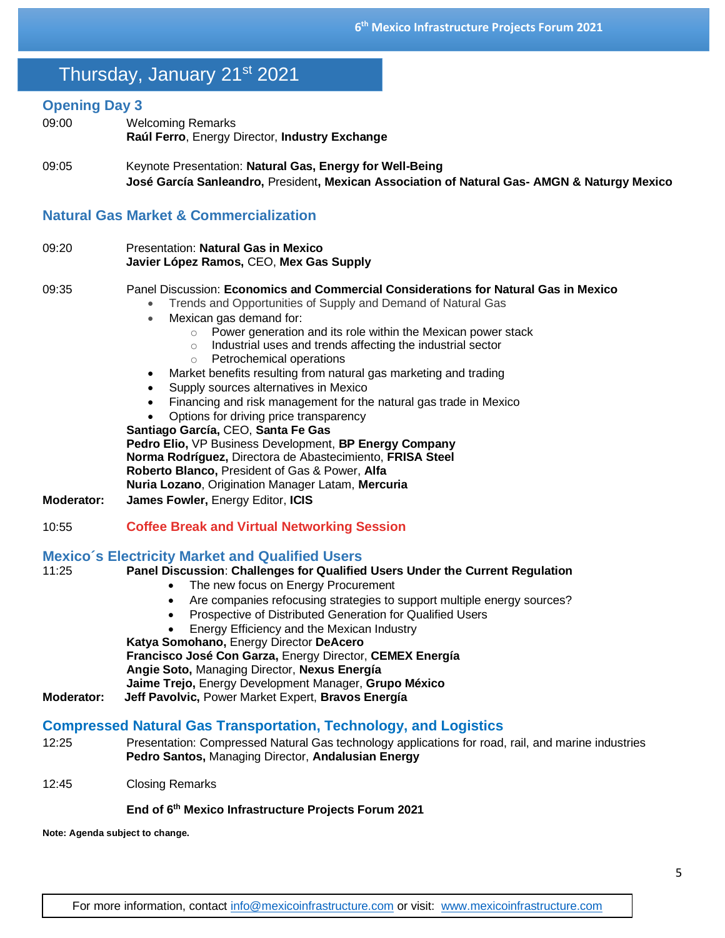# Thursday, January 21st 2021

#### **Opening Day 3**

- 09:00 Welcoming Remarks **Raúl Ferro**, Energy Director, **Industry Exchange**
- 09:05 Keynote Presentation: **Natural Gas, Energy for Well-Being José García Sanleandro,** President**, Mexican Association of Natural Gas- AMGN & Naturgy Mexico**

# **Natural Gas Market & Commercialization**

09:20 Presentation: **Natural Gas in Mexico Javier López Ramos,** CEO, **Mex Gas Supply**

#### 09:35 Panel Discussion: **Economics and Commercial Considerations for Natural Gas in Mexico**

- Trends and Opportunities of Supply and Demand of Natural Gas
- Mexican gas demand for:
	- o Power generation and its role within the Mexican power stack
	- o Industrial uses and trends affecting the industrial sector
	- o Petrochemical operations
- Market benefits resulting from natural gas marketing and trading
- Supply sources alternatives in Mexico
- Financing and risk management for the natural gas trade in Mexico
- Options for driving price transparency

**Santiago García,** CEO, **Santa Fe Gas Pedro Elio,** VP Business Development, **BP Energy Company Norma Rodríguez,** Directora de Abastecimiento, **FRISA Steel Roberto Blanco,** President of Gas & Power, **Alfa Nuria Lozano**, Origination Manager Latam, **Mercuria**

- **Moderator: James Fowler,** Energy Editor, **ICIS**
- 10:55 **Coffee Break and Virtual Networking Session**

#### **Mexico´s Electricity Market and Qualified Users**

| 11:25             | Panel Discussion: Challenges for Qualified Users Under the Current Regulation                      |
|-------------------|----------------------------------------------------------------------------------------------------|
|                   | The new focus on Energy Procurement                                                                |
|                   | Are companies refocusing strategies to support multiple energy sources?                            |
|                   | Prospective of Distributed Generation for Qualified Users                                          |
|                   | Energy Efficiency and the Mexican Industry                                                         |
|                   | Katya Somohano, Energy Director DeAcero                                                            |
|                   | Francisco José Con Garza, Energy Director, CEMEX Energía                                           |
|                   | Angie Soto, Managing Director, Nexus Energía                                                       |
|                   | Jaime Trejo, Energy Development Manager, Grupo México                                              |
| <b>Moderator:</b> | Jeff Pavolvic, Power Market Expert, Bravos Energía                                                 |
|                   | <b>Compressed Natural Gas Transportation, Technology, and Logistics</b>                            |
| 12:25             | Presentation: Compressed Natural Gas technology applications for road, rail, and marine industries |
|                   | Pedro Santos, Managing Director, Andalusian Energy                                                 |

12:45 Closing Remarks

#### **End of 6 th Mexico Infrastructure Projects Forum 2021**

**Note: Agenda subject to change.**